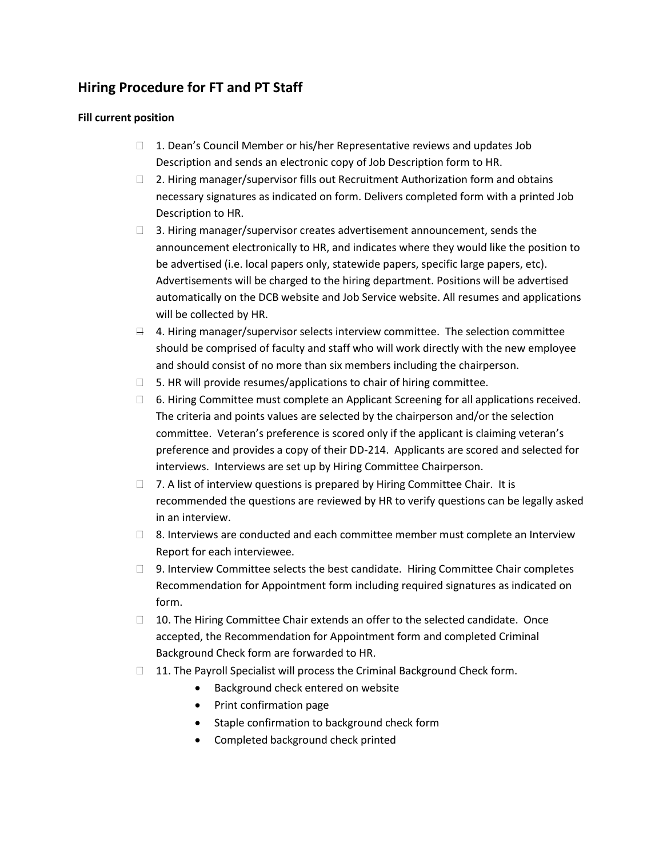#### **Hiring Procedure for FT and PT Staff**

#### **Fill current position**

- $\Box$  1. Dean's Council Member or his/her Representative reviews and updates Job Description and sends an electronic copy of Job Description form to HR.
- $\Box$  2. Hiring manager/supervisor fills out Recruitment Authorization form and obtains necessary signatures as indicated on form. Delivers completed form with a printed Job Description to HR.
- $\Box$  3. Hiring manager/supervisor creates advertisement announcement, sends the announcement electronically to HR, and indicates where they would like the position to be advertised (i.e. local papers only, statewide papers, specific large papers, etc). Advertisements will be charged to the hiring department. Positions will be advertised automatically on the DCB website and Job Service website. All resumes and applications will be collected by HR.
- $\Box$  4. Hiring manager/supervisor selects interview committee. The selection committee should be comprised of faculty and staff who will work directly with the new employee and should consist of no more than six members including the chairperson.
- $\Box$  5. HR will provide resumes/applications to chair of hiring committee.
- $\Box$  6. Hiring Committee must complete an Applicant Screening for all applications received. The criteria and points values are selected by the chairperson and/or the selection committee. Veteran's preference is scored only if the applicant is claiming veteran's preference and provides a copy of their DD-214. Applicants are scored and selected for interviews. Interviews are set up by Hiring Committee Chairperson.
- $\Box$  7. A list of interview questions is prepared by Hiring Committee Chair. It is recommended the questions are reviewed by HR to verify questions can be legally asked in an interview.
- $\Box$  8. Interviews are conducted and each committee member must complete an Interview Report for each interviewee.
- □ 9. Interview Committee selects the best candidate. Hiring Committee Chair completes Recommendation for Appointment form including required signatures as indicated on form.
- □ 10. The Hiring Committee Chair extends an offer to the selected candidate. Once accepted, the Recommendation for Appointment form and completed Criminal Background Check form are forwarded to HR.
- □ 11. The Payroll Specialist will process the Criminal Background Check form.
	- Background check entered on website
	- Print confirmation page
	- Staple confirmation to background check form
	- Completed background check printed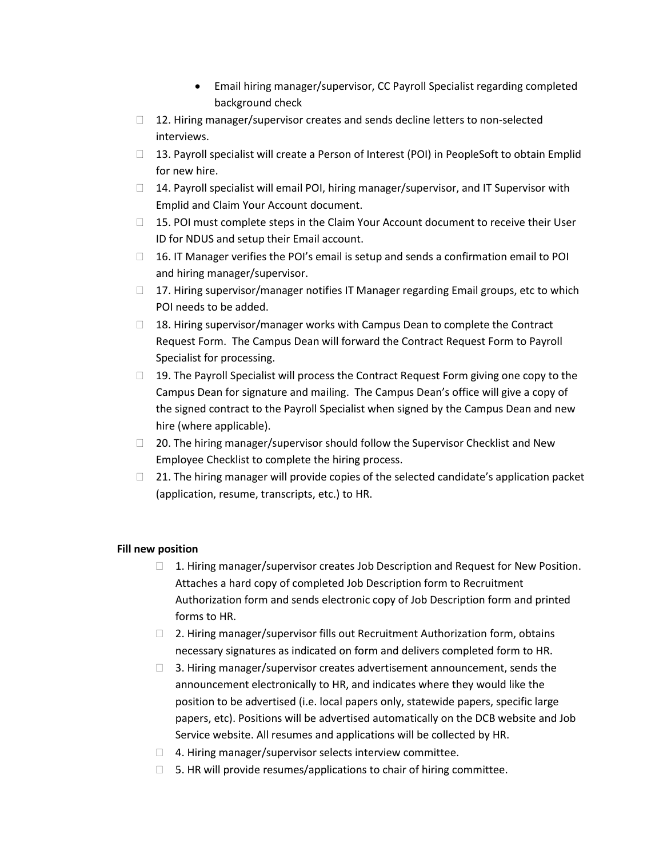- Email hiring manager/supervisor, CC Payroll Specialist regarding completed background check
- $\Box$  12. Hiring manager/supervisor creates and sends decline letters to non-selected interviews.
- $\Box$  13. Payroll specialist will create a Person of Interest (POI) in PeopleSoft to obtain Emplid for new hire.
- $\Box$  14. Payroll specialist will email POI, hiring manager/supervisor, and IT Supervisor with Emplid and Claim Your Account document.
- $\Box$  15. POI must complete steps in the Claim Your Account document to receive their User ID for NDUS and setup their Email account.
- $\Box$  16. IT Manager verifies the POI's email is setup and sends a confirmation email to POI and hiring manager/supervisor.
- $\Box$  17. Hiring supervisor/manager notifies IT Manager regarding Email groups, etc to which POI needs to be added.
- $\Box$  18. Hiring supervisor/manager works with Campus Dean to complete the Contract Request Form. The Campus Dean will forward the Contract Request Form to Payroll Specialist for processing.
- $\Box$  19. The Payroll Specialist will process the Contract Request Form giving one copy to the Campus Dean for signature and mailing. The Campus Dean's office will give a copy of the signed contract to the Payroll Specialist when signed by the Campus Dean and new hire (where applicable).
- $\Box$  20. The hiring manager/supervisor should follow the Supervisor Checklist and New Employee Checklist to complete the hiring process.
- $\Box$  21. The hiring manager will provide copies of the selected candidate's application packet (application, resume, transcripts, etc.) to HR.

#### **Fill new position**

- □ 1. Hiring manager/supervisor creates Job Description and Request for New Position. Attaches a hard copy of completed Job Description form to Recruitment Authorization form and sends electronic copy of Job Description form and printed forms to HR.
- $\Box$  2. Hiring manager/supervisor fills out Recruitment Authorization form, obtains necessary signatures as indicated on form and delivers completed form to HR.
- $\Box$  3. Hiring manager/supervisor creates advertisement announcement, sends the announcement electronically to HR, and indicates where they would like the position to be advertised (i.e. local papers only, statewide papers, specific large papers, etc). Positions will be advertised automatically on the DCB website and Job Service website. All resumes and applications will be collected by HR.
- $\Box$  4. Hiring manager/supervisor selects interview committee.
- $\Box$  5. HR will provide resumes/applications to chair of hiring committee.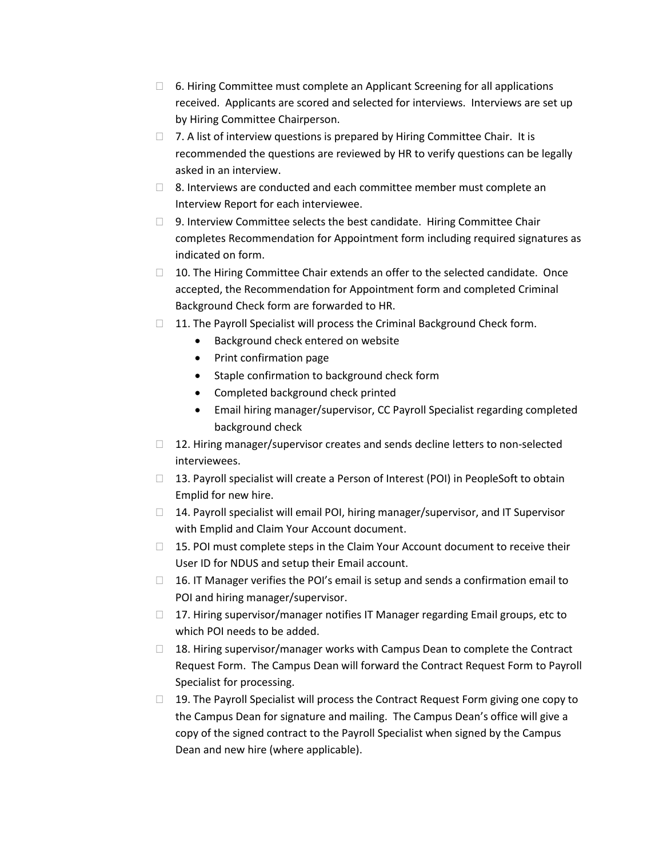- $\Box$  6. Hiring Committee must complete an Applicant Screening for all applications received. Applicants are scored and selected for interviews. Interviews are set up by Hiring Committee Chairperson.
- □ 7. A list of interview questions is prepared by Hiring Committee Chair. It is recommended the questions are reviewed by HR to verify questions can be legally asked in an interview.
- $\Box$  8. Interviews are conducted and each committee member must complete an Interview Report for each interviewee.
- $\Box$  9. Interview Committee selects the best candidate. Hiring Committee Chair completes Recommendation for Appointment form including required signatures as indicated on form.
- □ 10. The Hiring Committee Chair extends an offer to the selected candidate. Once accepted, the Recommendation for Appointment form and completed Criminal Background Check form are forwarded to HR.
- $\Box$  11. The Payroll Specialist will process the Criminal Background Check form.
	- Background check entered on website
	- Print confirmation page
	- Staple confirmation to background check form
	- Completed background check printed
	- Email hiring manager/supervisor, CC Payroll Specialist regarding completed background check
- □ 12. Hiring manager/supervisor creates and sends decline letters to non-selected interviewees.
- $\Box$  13. Payroll specialist will create a Person of Interest (POI) in PeopleSoft to obtain Emplid for new hire.
- $\Box$  14. Payroll specialist will email POI, hiring manager/supervisor, and IT Supervisor with Emplid and Claim Your Account document.
- $\Box$  15. POI must complete steps in the Claim Your Account document to receive their User ID for NDUS and setup their Email account.
- $\Box$  16. IT Manager verifies the POI's email is setup and sends a confirmation email to POI and hiring manager/supervisor.
- $\Box$  17. Hiring supervisor/manager notifies IT Manager regarding Email groups, etc to which POI needs to be added.
- $\Box$  18. Hiring supervisor/manager works with Campus Dean to complete the Contract Request Form. The Campus Dean will forward the Contract Request Form to Payroll Specialist for processing.
- $\Box$  19. The Payroll Specialist will process the Contract Request Form giving one copy to the Campus Dean for signature and mailing. The Campus Dean's office will give a copy of the signed contract to the Payroll Specialist when signed by the Campus Dean and new hire (where applicable).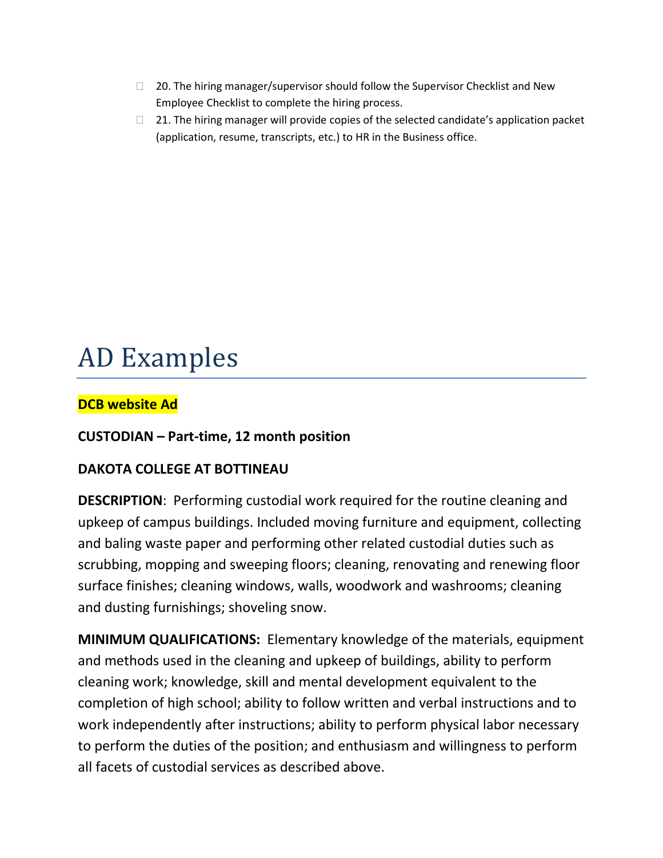- $\Box$  20. The hiring manager/supervisor should follow the Supervisor Checklist and New Employee Checklist to complete the hiring process.
- $\Box$  21. The hiring manager will provide copies of the selected candidate's application packet (application, resume, transcripts, etc.) to HR in the Business office.

# AD Examples

## **DCB website Ad**

## **CUSTODIAN – Part-time, 12 month position**

## **DAKOTA COLLEGE AT BOTTINEAU**

**DESCRIPTION**: Performing custodial work required for the routine cleaning and upkeep of campus buildings. Included moving furniture and equipment, collecting and baling waste paper and performing other related custodial duties such as scrubbing, mopping and sweeping floors; cleaning, renovating and renewing floor surface finishes; cleaning windows, walls, woodwork and washrooms; cleaning and dusting furnishings; shoveling snow.

**MINIMUM QUALIFICATIONS:** Elementary knowledge of the materials, equipment and methods used in the cleaning and upkeep of buildings, ability to perform cleaning work; knowledge, skill and mental development equivalent to the completion of high school; ability to follow written and verbal instructions and to work independently after instructions; ability to perform physical labor necessary to perform the duties of the position; and enthusiasm and willingness to perform all facets of custodial services as described above.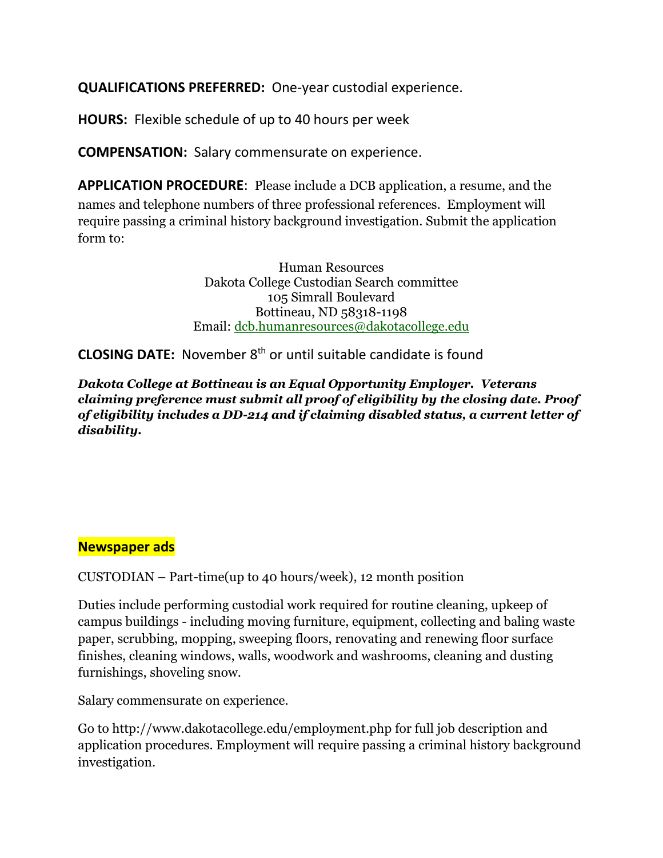**QUALIFICATIONS PREFERRED:** One-year custodial experience.

**HOURS:** Flexible schedule of up to 40 hours per week

**COMPENSATION:** Salary commensurate on experience.

**APPLICATION PROCEDURE**: Please include a DCB application, a resume, and the names and telephone numbers of three professional references. Employment will require passing a criminal history background investigation. Submit the application form to:

> Human Resources Dakota College Custodian Search committee 105 Simrall Boulevard Bottineau, ND 58318-1198 Email: [dcb.humanresources@dakotacollege.edu](mailto:dcb.humanresources@dakotacollege.edu)

**CLOSING DATE:** November 8th or until suitable candidate is found

*Dakota College at Bottineau is an Equal Opportunity Employer. Veterans claiming preference must submit all proof of eligibility by the closing date. Proof of eligibility includes a DD-214 and if claiming disabled status, a current letter of disability.*

## **Newspaper ads**

CUSTODIAN – Part-time(up to 40 hours/week), 12 month position

Duties include performing custodial work required for routine cleaning, upkeep of campus buildings - including moving furniture, equipment, collecting and baling waste paper, scrubbing, mopping, sweeping floors, renovating and renewing floor surface finishes, cleaning windows, walls, woodwork and washrooms, cleaning and dusting furnishings, shoveling snow.

Salary commensurate on experience.

Go to<http://www.dakotacollege.edu/employment.php> for full job description and application procedures. Employment will require passing a criminal history background investigation.